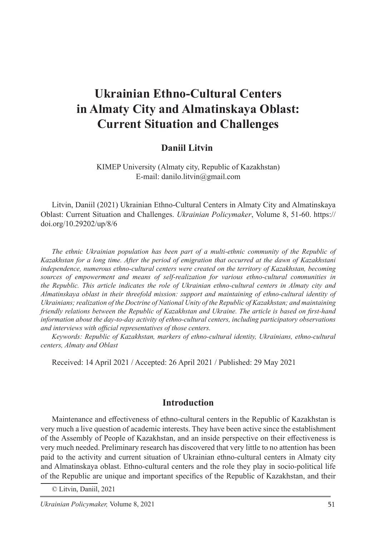# **Ukrainian Ethno-Cultural Centers in Almaty City and Almatinskaya Oblast: Current Situation and Challenges**

#### **Daniil Litvin**<sup>1</sup>

KIMEP University (Almaty city, Republic of Kazakhstan) E-mail: danilo.litvin@gmail.com

Litvin, Daniil (2021) Ukrainian Ethno-Cultural Centers in Almaty City and Almatinskaya Oblast: Current Situation and Challenges. *Ukrainian Policymaker*, Volume 8, 51-60. https:// doi.org/10.29202/up/8/6

*The ethnic Ukrainian population has been part of a multi-ethnic community of the Republic of Kazakhstan for a long time. After the period of emigration that occurred at the dawn of Kazakhstani independence, numerous ethno-cultural centers were created on the territory of Kazakhstan, becoming sources of empowerment and means of self-realization for various ethno-cultural communities in the Republic. This article indicates the role of Ukrainian ethno-cultural centers in Almaty city and Almatinskaya oblast in their threefold mission: support and maintaining of ethno-cultural identity of Ukrainians; realization of the Doctrine of National Unity of the Republic of Kazakhstan; and maintaining friendly relations between the Republic of Kazakhstan and Ukraine. The article is based on first-hand information about the day-to-day activity of ethno-cultural centers, including participatory observations and interviews with official representatives of those centers.*

*Keywords: Republic of Kazakhstan, markers of ethno-cultural identity, Ukrainians, ethno-cultural centers, Almaty and Oblast*

Received: 14 April 2021 / Accepted: 26 April 2021 / Published: 29 May 2021

#### **Introduction**

Maintenance and effectiveness of ethno-cultural centers in the Republic of Kazakhstan is very much a live question of academic interests. They have been active since the establishment of the Assembly of People of Kazakhstan, and an inside perspective on their effectiveness is very much needed. Preliminary research has discovered that very little to no attention has been paid to the activity and current situation of Ukrainian ethno-cultural centers in Almaty city and Almatinskaya oblast. Ethno-cultural centers and the role they play in socio-political life of the Republic are unique and important specifics of the Republic of Kazakhstan, and their

© Litvin, Daniil, 2021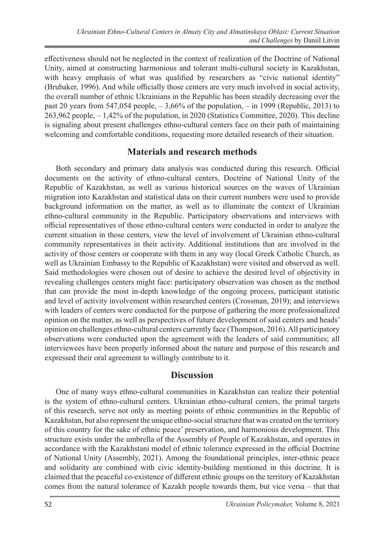effectiveness should not be neglected in the context of realization of the Doctrine of National Unity, aimed at constructing harmonious and tolerant multi-cultural society in Kazakhstan, with heavy emphasis of what was qualified by researchers as "civic national identity" (Brubaker, 1996). And while officially those centers are very much involved in social activity, the overall number of ethnic Ukrainians in the Republic has been steadily decreasing over the past 20 years from 547,054 people,  $-3,66\%$  of the population,  $-$  in 1999 (Republic, 2013) to 263,962 people, – 1,42% of the population, in 2020 (Statistics Committee, 2020). This decline is signaling about present challenges ethno-cultural centers face on their path of maintaining welcoming and comfortable conditions, requesting more detailed research of their situation.

### **Materials and research methods**

Both secondary and primary data analysis was conducted during this research. Official documents on the activity of ethno-cultural centers, Doctrine of National Unity of the Republic of Kazakhstan, as well as various historical sources on the waves of Ukrainian migration into Kazakhstan and statistical data on their current numbers were used to provide background information on the matter, as well as to illuminate the context of Ukrainian ethno-cultural community in the Republic. Participatory observations and interviews with official representatives of those ethno-cultural centers were conducted in order to analyze the current situation in those centers, view the level of involvement of Ukrainian ethno-cultural community representatives in their activity. Additional institutions that are involved in the activity of those centers or cooperate with them in any way (local Greek Catholic Church, as well as Ukrainian Embassy to the Republic of Kazakhstan) were visited and observed as well. Said methodologies were chosen out of desire to achieve the desired level of objectivity in revealing challenges centers might face: participatory observation was chosen as the method that can provide the most in-depth knowledge of the ongoing process, participant statistic and level of activity involvement within researched centers (Crossman, 2019); and interviews with leaders of centers were conducted for the purpose of gathering the more professionalized opinion on the matter, as well as perspectives of future development of said centers and heads' opinion on challenges ethno-cultural centers currently face (Thompson, 2016). All participatory observations were conducted upon the agreement with the leaders of said communities; all interviewees have been properly informed about the nature and purpose of this research and expressed their oral agreement to willingly contribute to it.

#### **Discussion**

One of many ways ethno-cultural communities in Kazakhstan can realize their potential is the system of ethno-cultural centers. Ukrainian ethno-cultural centers, the primal targets of this research, serve not only as meeting points of ethnic communities in the Republic of Kazakhstan, but also represent the unique ethno-social structure that was created on the territory of this country for the sake of ethnic peace' preservation, and harmonious development. This structure exists under the umbrella of the Assembly of People of Kazakhstan, and operates in accordance with the Kazakhstani model of ethnic tolerance expressed in the official Doctrine of National Unity (Assembly, 2021). Among the foundational principles, inter-ethnic peace and solidarity are combined with civic identity-building mentioned in this doctrine. It is claimed that the peaceful co-existence of different ethnic groups on the territory of Kazakhstan comes from the natural tolerance of Kazakh people towards them, but vice versa – that that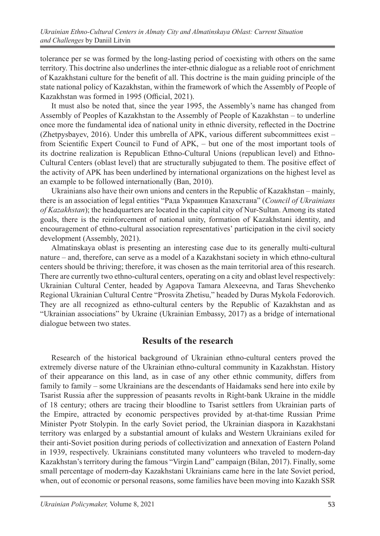tolerance per se was formed by the long-lasting period of coexisting with others on the same territory. This doctrine also underlines the inter-ethnic dialogue as a reliable root of enrichment of Kazakhstani culture for the benefit of all. This doctrine is the main guiding principle of the state national policy of Kazakhstan, within the framework of which the Assembly of People of Kazakhstan was formed in 1995 (Official, 2021).

It must also be noted that, since the year 1995, the Assembly's name has changed from Assembly of Peoples of Kazakhstan to the Assembly of People of Kazakhstan – to underline once more the fundamental idea of national unity in ethnic diversity, reflected in the Doctrine (Zhetpysbayev, 2016). Under this umbrella of APK, various different subcommittees exist – from Scientific Expert Council to Fund of APK, – but one of the most important tools of its doctrine realization is Republican Ethno-Cultural Unions (republican level) and Ethno-Cultural Centers (oblast level) that are structurally subjugated to them. The positive effect of the activity of APK has been underlined by international organizations on the highest level as an example to be followed internationally (Ban, 2010).

Ukrainians also have their own unions and centers in the Republic of Kazakhstan – mainly, there is an association of legal entities "Рада Украинцев Казахстана" (*Council of Ukrainians of Kazakhstan*); the headquarters are located in the capital city of Nur-Sultan. Among its stated goals, there is the reinforcement of national unity, formation of Kazakhstani identity, and encouragement of ethno-cultural association representatives' participation in the civil society development (Assembly, 2021).

Almatinskaya oblast is presenting an interesting case due to its generally multi-cultural nature – and, therefore, can serve as a model of a Kazakhstani society in which ethno-cultural centers should be thriving; therefore, it was chosen as the main territorial area of this research. There are currently two ethno-cultural centers, operating on a city and oblast level respectively: Ukrainian Cultural Center, headed by Agapova Tamara Alexeevna, and Taras Shevchenko Regional Ukrainian Cultural Centre "Prosvita Zhetisu," headed by Duras Mykola Fedorovich. They are all recognized as ethno-cultural centers by the Republic of Kazakhstan and as "Ukrainian associations" by Ukraine (Ukrainian Embassy, 2017) as a bridge of international dialogue between two states.

#### **Results of the research**

Research of the historical background of Ukrainian ethno-cultural centers proved the extremely diverse nature of the Ukrainian ethno-cultural community in Kazakhstan. History of their appearance on this land, as in case of any other ethnic community, differs from family to family – some Ukrainians are the descendants of Haidamaks send here into exile by Tsarist Russia after the suppression of peasants revolts in Right-bank Ukraine in the middle of 18 century; others are tracing their bloodline to Tsarist settlers from Ukrainian parts of the Empire, attracted by economic perspectives provided by at-that-time Russian Prime Minister Pyotr Stolypin. In the early Soviet period, the Ukrainian diaspora in Kazakhstani territory was enlarged by a substantial amount of kulaks and Western Ukrainians exiled for their anti-Soviet position during periods of collectivization and annexation of Eastern Poland in 1939, respectively. Ukrainians constituted many volunteers who traveled to modern-day Kazakhstan's territory during the famous "Virgin Land" campaign (Bilan, 2017). Finally, some small percentage of modern-day Kazakhstani Ukrainians came here in the late Soviet period, when, out of economic or personal reasons, some families have been moving into Kazakh SSR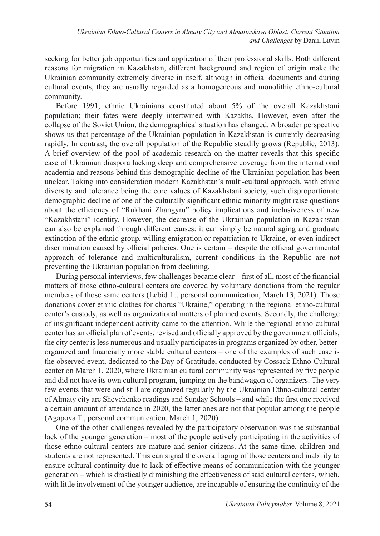seeking for better job opportunities and application of their professional skills. Both different reasons for migration in Kazakhstan, different background and region of origin make the Ukrainian community extremely diverse in itself, although in official documents and during cultural events, they are usually regarded as a homogeneous and monolithic ethno-cultural community.

Before 1991, ethnic Ukrainians constituted about 5% of the overall Kazakhstani population; their fates were deeply intertwined with Kazakhs. However, even after the collapse of the Soviet Union, the demographical situation has changed. A broader perspective shows us that percentage of the Ukrainian population in Kazakhstan is currently decreasing rapidly. In contrast, the overall population of the Republic steadily grows (Republic, 2013). A brief overview of the pool of academic research on the matter reveals that this specific case of Ukrainian diaspora lacking deep and comprehensive coverage from the international academia and reasons behind this demographic decline of the Ukrainian population has been unclear. Taking into consideration modern Kazakhstan's multi-cultural approach, with ethnic diversity and tolerance being the core values of Kazakhstani society, such disproportionate demographic decline of one of the culturally significant ethnic minority might raise questions about the efficiency of "Rukhani Zhangyru" policy implications and inclusiveness of new "Kazakhstani" identity. However, the decrease of the Ukrainian population in Kazakhstan can also be explained through different causes: it can simply be natural aging and graduate extinction of the ethnic group, willing emigration or repatriation to Ukraine, or even indirect discrimination caused by official policies. One is certain – despite the official governmental approach of tolerance and multiculturalism, current conditions in the Republic are not preventing the Ukrainian population from declining.

During personal interviews, few challenges became clear – first of all, most of the financial matters of those ethno-cultural centers are covered by voluntary donations from the regular members of those same centers (Lebid L., personal communication, March 13, 2021). Those donations cover ethnic clothes for chorus "Ukraine," operating in the regional ethno-cultural center's custody, as well as organizational matters of planned events. Secondly, the challenge of insignificant independent activity came to the attention. While the regional ethno-cultural center has an official plan of events, revised and officially approved by the government officials, the city center is less numerous and usually participates in programs organized by other, betterorganized and financially more stable cultural centers – one of the examples of such case is the observed event, dedicated to the Day of Gratitude, conducted by Cossack Ethno-Cultural center on March 1, 2020, where Ukrainian cultural community was represented by five people and did not have its own cultural program, jumping on the bandwagon of organizers. The very few events that were and still are organized regularly by the Ukrainian Ethno-cultural center of Almaty city are Shevchenko readings and Sunday Schools – and while the first one received a certain amount of attendance in 2020, the latter ones are not that popular among the people (Agapova T., personal communication, March 1, 2020).

One of the other challenges revealed by the participatory observation was the substantial lack of the younger generation – most of the people actively participating in the activities of those ethno-cultural centers are mature and senior citizens. At the same time, children and students are not represented. This can signal the overall aging of those centers and inability to ensure cultural continuity due to lack of effective means of communication with the younger generation – which is drastically diminishing the effectiveness of said cultural centers, which, with little involvement of the younger audience, are incapable of ensuring the continuity of the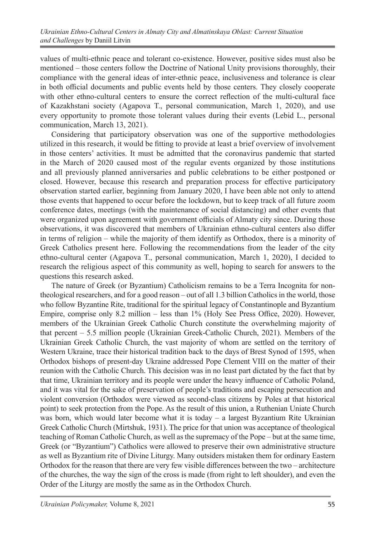values of multi-ethnic peace and tolerant co-existence. However, positive sides must also be mentioned – those centers follow the Doctrine of National Unity provisions thoroughly, their compliance with the general ideas of inter-ethnic peace, inclusiveness and tolerance is clear in both official documents and public events held by those centers. They closely cooperate with other ethno-cultural centers to ensure the correct reflection of the multi-cultural face of Kazakhstani society (Agapova T., personal communication, March 1, 2020), and use every opportunity to promote those tolerant values during their events (Lebid L., personal communication, March 13, 2021).

Considering that participatory observation was one of the supportive methodologies utilized in this research, it would be fitting to provide at least a brief overview of involvement in those centers' activities. It must be admitted that the coronavirus pandemic that started in the March of 2020 caused most of the regular events organized by those institutions and all previously planned anniversaries and public celebrations to be either postponed or closed. However, because this research and preparation process for effective participatory observation started earlier, beginning from January 2020, I have been able not only to attend those events that happened to occur before the lockdown, but to keep track of all future zoom conference dates, meetings (with the maintenance of social distancing) and other events that were organized upon agreement with government officials of Almaty city since. During those observations, it was discovered that members of Ukrainian ethno-cultural centers also differ in terms of religion – while the majority of them identify as Orthodox, there is a minority of Greek Catholics present here. Following the recommendations from the leader of the city ethno-cultural center (Agapova T., personal communication, March 1, 2020), I decided to research the religious aspect of this community as well, hoping to search for answers to the questions this research asked.

The nature of Greek (or Byzantium) Catholicism remains to be a Terra Incognita for nontheological researchers, and for a good reason – out of all 1.3 billion Catholics in the world, those who follow Byzantine Rite, traditional for the spiritual legacy of Constantinople and Byzantium Empire, comprise only 8.2 million – less than 1% (Holy See Press Office, 2020). However, members of the Ukrainian Greek Catholic Church constitute the overwhelming majority of that percent – 5.5 million people (Ukrainian Greek-Catholic Church, 2021). Members of the Ukrainian Greek Catholic Church, the vast majority of whom are settled on the territory of Western Ukraine, trace their historical tradition back to the days of Brest Synod of 1595, when Orthodox bishops of present-day Ukraine addressed Pope Clement VIII on the matter of their reunion with the Catholic Church. This decision was in no least part dictated by the fact that by that time, Ukrainian territory and its people were under the heavy influence of Catholic Poland, and it was vital for the sake of preservation of people's traditions and escaping persecution and violent conversion (Orthodox were viewed as second-class citizens by Poles at that historical point) to seek protection from the Pope. As the result of this union, a Ruthenian Uniate Church was born, which would later become what it is today – a largest Byzantium Rite Ukrainian Greek Catholic Church (Mirtshuk, 1931). The price for that union was acceptance of theological teaching of Roman Catholic Church, as well as the supremacy of the Pope – but at the same time, Greek (or "Byzantium") Catholics were allowed to preserve their own administrative structure as well as Byzantium rite of Divine Liturgy. Many outsiders mistaken them for ordinary Eastern Orthodox for the reason that there are very few visible differences between the two – architecture of the churches, the way the sign of the cross is made (from right to left shoulder), and even the Order of the Liturgy are mostly the same as in the Orthodox Church.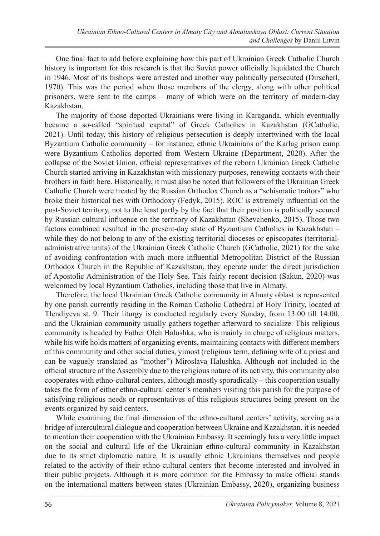One final fact to add before explaining how this part of Ukrainian Greek Catholic Church history is important for this research is that the Soviet power officially liquidated the Church in 1946. Most of its bishops were arrested and another way politically persecuted (Dirscherl, 1970). This was the period when those members of the clergy, along with other political prisoners, were sent to the camps – many of which were on the territory of modern-day Kazakhstan.

The majority of those deported Ukrainians were living in Karaganda, which eventually became a so-called "spiritual capital" of Greek Catholics in Kazakhstan (GCatholic, 2021). Until today, this history of religious persecution is deeply intertwined with the local Byzantium Catholic community – for instance, ethnic Ukrainians of the Karlag prison camp were Byzantium Catholics deported from Western Ukraine (Department, 2020). After the collapse of the Soviet Union, official representatives of the reborn Ukrainian Greek Catholic Church started arriving in Kazakhstan with missionary purposes, renewing contacts with their brothers in faith here. Historically, it must also be noted that followers of the Ukrainian Greek Catholic Church were treated by the Russian Orthodox Church as a "schismatic traitors" who broke their historical ties with Orthodoxy (Fedyk, 2015). ROC is extremely influential on the post-Soviet territory, not to the least partly by the fact that their position is politically secured by Russian cultural influence on the territory of Kazakhstan (Shevchenko, 2015). Those two factors combined resulted in the present-day state of Byzantium Catholics in Kazakhstan – while they do not belong to any of the existing territorial dioceses or episcopates (territorialadministrative units) of the Ukrainian Greek Catholic Church (GCatholic, 2021) for the sake of avoiding confrontation with much more influential Metropolitan District of the Russian Orthodox Church in the Republic of Kazakhstan, they operate under the direct jurisdiction of Apostolic Administration of the Holy See. This fairly recent decision (Sakun, 2020) was welcomed by local Byzantium Catholics, including those that live in Almaty.

Therefore, the local Ukrainian Greek Catholic community in Almaty oblast is represented by one parish currently residing in the Roman Catholic Cathedral of Holy Trinity, located at Tlendiyeva st. 9. Their liturgy is conducted regularly every Sunday, from 13:00 till 14:00, and the Ukrainian community usually gathers together afterward to socialize. This religious community is headed by Father Oleh Halushka, who is mainly in charge of religious matters, while his wife holds matters of organizing events, maintaining contacts with different members of this community and other social duties, yimost (religious term, defining wife of a priest and can be vaguely translated as "mother") Miroslava Halushka. Although not included in the official structure of the Assembly due to the religious nature of its activity, this community also cooperates with ethno-cultural centers, although mostly sporadically – this cooperation usually takes the form of either ethno-cultural center's members visiting this parish for the purpose of satisfying religious needs or representatives of this religious structures being present on the events organized by said centers.

While examining the final dimension of the ethno-cultural centers' activity, serving as a bridge of intercultural dialogue and cooperation between Ukraine and Kazakhstan, it is needed to mention their cooperation with the Ukrainian Embassy. It seemingly has a very little impact on the social and cultural life of the Ukrainian ethno-cultural community in Kazakhstan due to its strict diplomatic nature. It is usually ethnic Ukrainians themselves and people related to the activity of their ethno-cultural centers that become interested and involved in their public projects. Although it is more common for the Embassy to make official stands on the international matters between states (Ukrainian Embassy, 2020), organizing business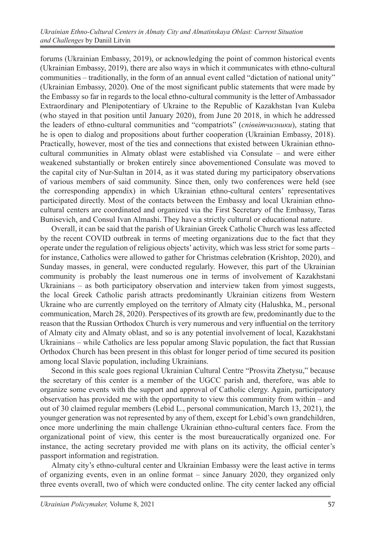forums (Ukrainian Embassy, 2019), or acknowledging the point of common historical events (Ukrainian Embassy, 2019), there are also ways in which it communicates with ethno-cultural communities – traditionally, in the form of an annual event called "dictation of national unity" (Ukrainian Embassy, 2020). One of the most significant public statements that were made by the Embassy so far in regards to the local ethno-cultural community is the letter of Ambassador Extraordinary and Plenipotentiary of Ukraine to the Republic of Kazakhstan Ivan Kuleba (who stayed in that position until January 2020), from June 20 2018, in which he addressed the leaders of ethno-cultural communities and "compatriots" (*співвітчизники*), stating that he is open to dialog and propositions about further cooperation (Ukrainian Embassy, 2018). Practically, however, most of the ties and connections that existed between Ukrainian ethnocultural communities in Almaty oblast were established via Consulate – and were either weakened substantially or broken entirely since abovementioned Consulate was moved to the capital city of Nur-Sultan in 2014, as it was stated during my participatory observations of various members of said community. Since then, only two conferences were held (see the corresponding appendix) in which Ukrainian ethno-cultural centers' representatives participated directly. Most of the contacts between the Embassy and local Ukrainian ethnocultural centers are coordinated and organized via the First Secretary of the Embassy, Taras Bunisevich, and Consul Ivan Almashi. They have a strictly cultural or educational nature.

Overall, it can be said that the parish of Ukrainian Greek Catholic Church was less affected by the recent COVID outbreak in terms of meeting organizations due to the fact that they operate under the regulation of religious objects' activity, which was less strict for some parts – for instance, Catholics were allowed to gather for Christmas celebration (Krishtop, 2020), and Sunday masses, in general, were conducted regularly. However, this part of the Ukrainian community is probably the least numerous one in terms of involvement of Kazakhstani Ukrainians – as both participatory observation and interview taken from yimost suggests, the local Greek Catholic parish attracts predominantly Ukrainian citizens from Western Ukraine who are currently employed on the territory of Almaty city (Halushka, M., personal communication, March 28, 2020). Perspectives of its growth are few, predominantly due to the reason that the Russian Orthodox Church is very numerous and very influential on the territory of Almaty city and Almaty oblast, and so is any potential involvement of local, Kazakhstani Ukrainians – while Catholics are less popular among Slavic population, the fact that Russian Orthodox Church has been present in this oblast for longer period of time secured its position among local Slavic population, including Ukrainians.

Second in this scale goes regional Ukrainian Cultural Centre "Prosvita Zhetysu," because the secretary of this center is a member of the UGCC parish and, therefore, was able to organize some events with the support and approval of Catholic clergy. Again, participatory observation has provided me with the opportunity to view this community from within – and out of 30 claimed regular members (Lebid L., personal communication, March 13, 2021), the younger generation was not represented by any of them, except for Lebid's own grandchildren, once more underlining the main challenge Ukrainian ethno-cultural centers face. From the organizational point of view, this center is the most bureaucratically organized one. For instance, the acting secretary provided me with plans on its activity, the official center's passport information and registration.

Almaty city's ethno-cultural center and Ukrainian Embassy were the least active in terms of organizing events, even in an online format – since January 2020, they organized only three events overall, two of which were conducted online. The city center lacked any official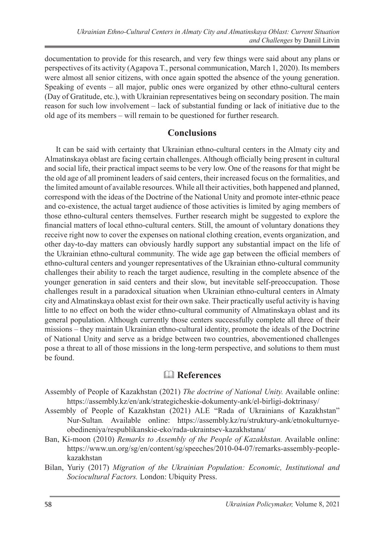documentation to provide for this research, and very few things were said about any plans or perspectives of its activity (Agapova T., personal communication, March 1, 2020). Its members were almost all senior citizens, with once again spotted the absence of the young generation. Speaking of events – all major, public ones were organized by other ethno-cultural centers (Day of Gratitude, etc.), with Ukrainian representatives being on secondary position. The main reason for such low involvement – lack of substantial funding or lack of initiative due to the old age of its members – will remain to be questioned for further research.

### **Conclusions**

It can be said with certainty that Ukrainian ethno-cultural centers in the Almaty city and Almatinskaya oblast are facing certain challenges. Although officially being present in cultural and social life, their practical impact seems to be very low. One of the reasons for that might be the old age of all prominent leaders of said centers, their increased focus on the formalities, and the limited amount of available resources. While all their activities, both happened and planned, correspond with the ideas of the Doctrine of the National Unity and promote inter-ethnic peace and co-existence, the actual target audience of those activities is limited by aging members of those ethno-cultural centers themselves. Further research might be suggested to explore the financial matters of local ethno-cultural centers. Still, the amount of voluntary donations they receive right now to cover the expenses on national clothing creation, events organization, and other day-to-day matters can obviously hardly support any substantial impact on the life of the Ukrainian ethno-cultural community. The wide age gap between the official members of ethno-cultural centers and younger representatives of the Ukrainian ethno-cultural community challenges their ability to reach the target audience, resulting in the complete absence of the younger generation in said centers and their slow, but inevitable self-preoccupation. Those challenges result in a paradoxical situation when Ukrainian ethno-cultural centers in Almaty city and Almatinskaya oblast exist for their own sake. Their practically useful activity is having little to no effect on both the wider ethno-cultural community of Almatinskaya oblast and its general population. Although currently those centers successfully complete all three of their missions – they maintain Ukrainian ethno-cultural identity, promote the ideals of the Doctrine of National Unity and serve as a bridge between two countries, abovementioned challenges pose a threat to all of those missions in the long-term perspective, and solutions to them must be found.

## & **References**

- Assembly of People of Kazakhstan (2021) *The doctrine of National Unity.* Available online: https://assembly.kz/en/ank/strategicheskie-dokumenty-ank/el-birligi-doktrinasy/
- Assembly of People of Kazakhstan (2021) ALE "Rada of Ukrainians of Kazakhstan" Nur-Sultan*.* Available online: https://assembly.kz/ru/struktury-ank/etnokulturnyeobedineniya/respublikanskie-eko/rada-ukraintsev-kazakhstana/
- Ban, Ki-moon (2010) *Remarks to Assembly of the People of Kazakhstan.* Available online: https://www.un.org/sg/en/content/sg/speeches/2010-04-07/remarks-assembly-peoplekazakhstan
- Bilan, Yuriy (2017) *Migration of the Ukrainian Population: Economic, Institutional and Sociocultural Factors.* London: Ubiquity Press.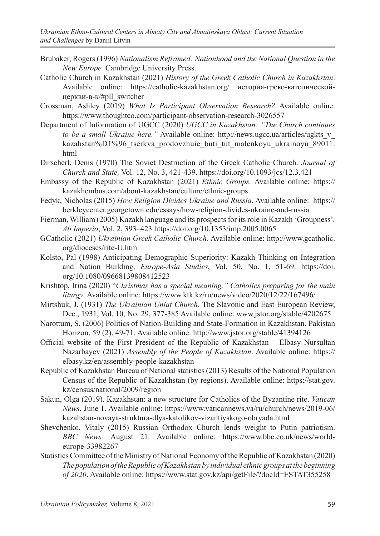- Brubaker, Rogers (1996) *Nationalism Reframed: Nationhood and the National Question in the New Europe.* Cambridge University Press.
- Catholic Church in Kazakhstan (2021) *History of the Greek Catholic Church in Kazakhstan*. Available online: https://catholic-kazakhstan.org/ история-греко-католическойцеркви-в-к/#pll\_switcher
- Crossman, Ashley (2019) *What Is Participant Observation Research?* Available online: https://www.thoughtco.com/participant-observation-research-3026557
- Department of Information of UGCC (2020) *UGCC in Kazakhstan: "The Church continues to be a small Ukraine here.*" Available online: http://news.ugcc.ua/articles/ugkts v kazahstan%D1%96 tserkva prodovzhuie buti tut malenkoyu ukrainoyu 89011. html
- Dirscherl, Denis (1970) The Soviet Destruction of the Greek Catholic Church. *Journal of Church and State,* Vol. 12, No. 3, 421-439. https://doi.org/10.1093/jcs/12.3.421
- Embassy of the Republic of Kazakhstan (2021) *Ethnic Groups.* Available online: https:// kazakhembus.com/about-kazakhstan/culture/ethnic-groups
- Fedyk, Nicholas (2015) *How Religion Divides Ukraine and Russia*. Available online: https:// berkleycenter.georgetown.edu/essays/how-religion-divides-ukraine-and-russia
- Fierman, William (2005) Kazakh language and its prospects for its role in Kazakh 'Groupness'*. Ab Imperio*, Vol. 2, 393–423 https://doi.org/10.1353/imp.2005.0065
- GCatholic (2021) *Ukrainian Greek Catholic Church.* Available online: http://www.gcatholic. org/dioceses/rite-U.htm
- Kolsto, Pal (1998) Anticipating Demographic Superiority: Kazakh Thinking on Integration and Nation Building. *Europe-Asia Studies*, Vol. 50, No. 1, 51-69. https://doi. org/10.1080/09668139808412523
- Krishtop, Irina (2020) "*Christmas has a special meaning." Catholics preparing for the main liturgy*. Available online: https://www.ktk.kz/ru/news/video/2020/12/22/167496/
- Mirtshuk, J. (1931) *The Ukrainian Uniat Church.* The Slavonic and East European Review, Dec., 1931, Vol. 10, No. 29, 377-385 Available online: www.jstor.org/stable/4202675
- Narottum, S. (2006) Politics of Nation-Building and State-Formation in Kazakhstan. Pakistan Horizon, 59 (2), 49-71. Available online: http://www.jstor.org/stable/41394126
- Official website of the First President of the Republic of Kazakhstan Elbasy Nursultan Nazarbayev (2021) *Assembly of the People of Kazakhstan*. Available online: https:// elbasy.kz/en/assembly-people-kazakhstan
- Republic of Kazakhstan Bureau of National statistics (2013) Results of the National Population Census of the Republic of Kazakhstan (by regions). Available online: https://stat.gov. kz/census/national/2009/region
- Sakun, Olga (2019). Kazakhstan: a new structure for Catholics of the Byzantine rite. *Vatican News*, June 1. Available online: https://www.vaticannews.va/ru/church/news/2019-06/ kazahstan-novaya-struktura-dlya-katolikov-vizantiyskogo-obryada.html
- Shevchenko, Vitaly (2015) Russian Orthodox Church lends weight to Putin patriotism. *BBC News,* August 21. Available online: https://www.bbc.co.uk/news/worldeurope-33982267
- Statistics Committee of the Ministry of National Economy of the Republic of Kazakhstan (2020) *The population of the Republic of Kazakhstan by individual ethnic groups at the beginning of 2020*. Available online: https://www.stat.gov.kz/api/getFile/?docId=ESTAT355258